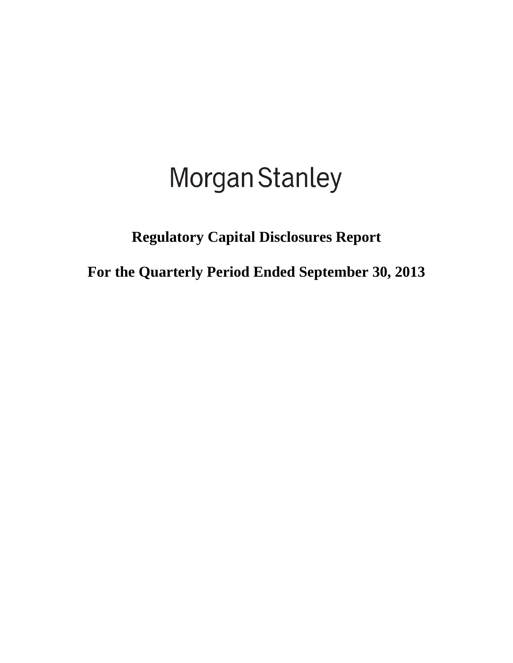# Morgan Stanley

## **Regulatory Capital Disclosures Report**

**For the Quarterly Period Ended September 30, 2013**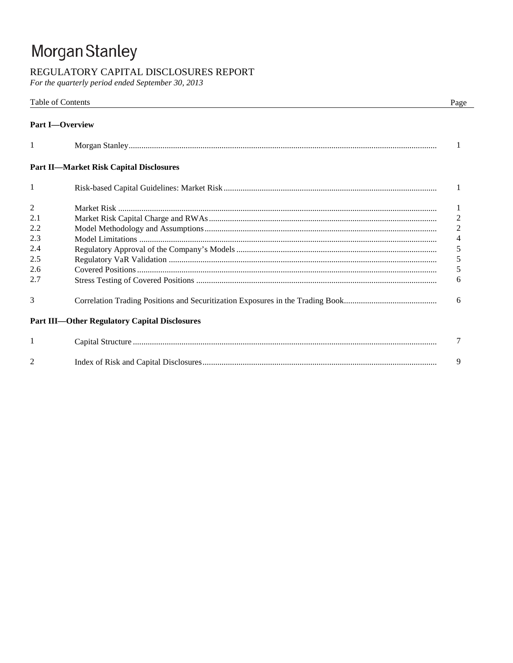## Morgan Stanley

## REGULATORY CAPITAL DISCLOSURES REPORT

For the quarterly period ended September 30, 2013

|                | Table of Contents                                    | Page           |
|----------------|------------------------------------------------------|----------------|
|                | <b>Part I</b> -Overview                              |                |
| -1             |                                                      | 1              |
|                | <b>Part II-Market Risk Capital Disclosures</b>       |                |
| 1              |                                                      | 1              |
| $\overline{2}$ |                                                      |                |
| 2.1            |                                                      | $\overline{c}$ |
| 2.2            |                                                      | $\overline{c}$ |
| 2.3            |                                                      |                |
| 2.4            |                                                      | $\frac{4}{5}$  |
| 2.5            |                                                      | 5              |
| 2.6            |                                                      | 5              |
| 2.7            |                                                      | 6              |
| 3              |                                                      | 6              |
|                | <b>Part III-Other Regulatory Capital Disclosures</b> |                |
| 1              |                                                      | 7              |
|                |                                                      | 9              |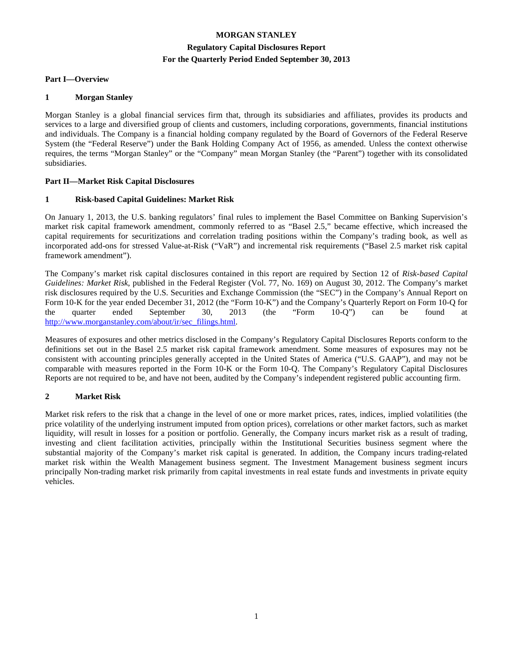#### **Regulatory Capital Disclosures Report For the Quarterly Period Ended September 30, 2013**

#### **Part I—Overview**

#### **1 Morgan Stanley**

Morgan Stanley is a global financial services firm that, through its subsidiaries and affiliates, provides its products and services to a large and diversified group of clients and customers, including corporations, governments, financial institutions and individuals. The Company is a financial holding company regulated by the Board of Governors of the Federal Reserve System (the "Federal Reserve") under the Bank Holding Company Act of 1956, as amended. Unless the context otherwise requires, the terms "Morgan Stanley" or the "Company" mean Morgan Stanley (the "Parent") together with its consolidated subsidiaries.

#### **Part II—Market Risk Capital Disclosures**

#### **1 Risk-based Capital Guidelines: Market Risk**

On January 1, 2013, the U.S. banking regulators' final rules to implement the Basel Committee on Banking Supervision's market risk capital framework amendment, commonly referred to as "Basel 2.5," became effective, which increased the capital requirements for securitizations and correlation trading positions within the Company's trading book, as well as incorporated add-ons for stressed Value-at-Risk ("VaR") and incremental risk requirements ("Basel 2.5 market risk capital framework amendment").

The Company's market risk capital disclosures contained in this report are required by Section 12 of *Risk-based Capital Guidelines: Market Risk*, published in the Federal Register (Vol. 77, No. 169) on August 30, 2012. The Company's market risk disclosures required by the U.S. Securities and Exchange Commission (the "SEC") in the Company's Annual Report on Form 10-K for the year ended December 31, 2012 (the "Form 10-K") and the Company's Quarterly Report on Form 10-Q for the quarter ended September 30, 2013 (the "Form 10-Q") can be found at [http://www.morganstanley.com/about/ir/sec\\_filings.html.](http://www.morganstanley.com/about/ir/sec_filings.html) 

Measures of exposures and other metrics disclosed in the Company's Regulatory Capital Disclosures Reports conform to the definitions set out in the Basel 2.5 market risk capital framework amendment. Some measures of exposures may not be consistent with accounting principles generally accepted in the United States of America ("U.S. GAAP"), and may not be comparable with measures reported in the Form 10-K or the Form 10-Q. The Company's Regulatory Capital Disclosures Reports are not required to be, and have not been, audited by the Company's independent registered public accounting firm.

#### **2 Market Risk**

Market risk refers to the risk that a change in the level of one or more market prices, rates, indices, implied volatilities (the price volatility of the underlying instrument imputed from option prices), correlations or other market factors, such as market liquidity, will result in losses for a position or portfolio. Generally, the Company incurs market risk as a result of trading, investing and client facilitation activities, principally within the Institutional Securities business segment where the substantial majority of the Company's market risk capital is generated. In addition, the Company incurs trading-related market risk within the Wealth Management business segment. The Investment Management business segment incurs principally Non-trading market risk primarily from capital investments in real estate funds and investments in private equity vehicles.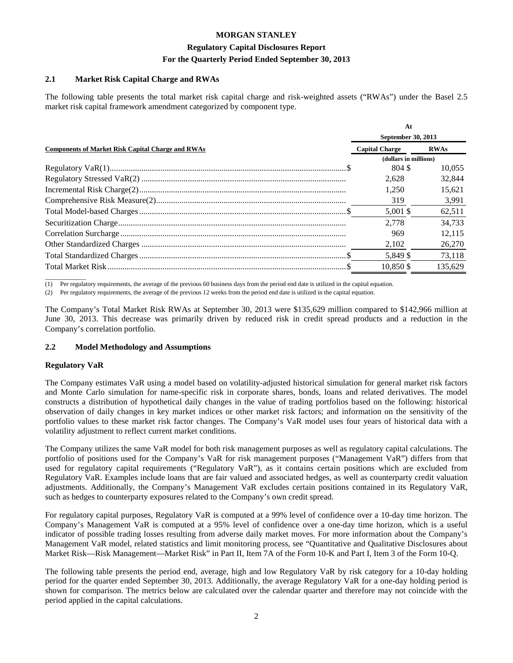#### **Regulatory Capital Disclosures Report For the Quarterly Period Ended September 30, 2013**

#### **2.1 Market Risk Capital Charge and RWAs**

The following table presents the total market risk capital charge and risk-weighted assets ("RWAs") under the Basel 2.5 market risk capital framework amendment categorized by component type.

|                                                          | At                    |             |  |  |
|----------------------------------------------------------|-----------------------|-------------|--|--|
|                                                          | September 30, 2013    |             |  |  |
| <b>Components of Market Risk Capital Charge and RWAs</b> | <b>Capital Charge</b> | <b>RWAs</b> |  |  |
|                                                          | (dollars in millions) |             |  |  |
|                                                          | 804 \$                | 10.055      |  |  |
|                                                          | 2.628                 | 32,844      |  |  |
|                                                          | 1.250                 | 15,621      |  |  |
|                                                          | 319                   | 3.991       |  |  |
|                                                          | 5.001 \$              | 62,511      |  |  |
|                                                          | 2.778                 | 34.733      |  |  |
|                                                          | 969                   | 12.115      |  |  |
|                                                          | 2,102                 | 26,270      |  |  |
|                                                          | 5.849 \$              | 73,118      |  |  |
|                                                          | 10.850 \$             | 135.629     |  |  |

 $\overline{\phantom{a}}$  , where  $\overline{\phantom{a}}$ (1) Per regulatory requirements, the average of the previous 60 business days from the period end date is utilized in the capital equation.

(2) Per regulatory requirements, the average of the previous 12 weeks from the period end date is utilized in the capital equation.

The Company's Total Market Risk RWAs at September 30, 2013 were \$135,629 million compared to \$142,966 million at June 30, 2013. This decrease was primarily driven by reduced risk in credit spread products and a reduction in the Company's correlation portfolio.

#### **2.2 Model Methodology and Assumptions**

#### **Regulatory VaR**

The Company estimates VaR using a model based on volatility-adjusted historical simulation for general market risk factors and Monte Carlo simulation for name-specific risk in corporate shares, bonds, loans and related derivatives. The model constructs a distribution of hypothetical daily changes in the value of trading portfolios based on the following: historical observation of daily changes in key market indices or other market risk factors; and information on the sensitivity of the portfolio values to these market risk factor changes. The Company's VaR model uses four years of historical data with a volatility adjustment to reflect current market conditions.

The Company utilizes the same VaR model for both risk management purposes as well as regulatory capital calculations. The portfolio of positions used for the Company's VaR for risk management purposes ("Management VaR") differs from that used for regulatory capital requirements ("Regulatory VaR"), as it contains certain positions which are excluded from Regulatory VaR. Examples include loans that are fair valued and associated hedges, as well as counterparty credit valuation adjustments. Additionally, the Company's Management VaR excludes certain positions contained in its Regulatory VaR, such as hedges to counterparty exposures related to the Company's own credit spread.

For regulatory capital purposes, Regulatory VaR is computed at a 99% level of confidence over a 10-day time horizon. The Company's Management VaR is computed at a 95% level of confidence over a one-day time horizon, which is a useful indicator of possible trading losses resulting from adverse daily market moves. For more information about the Company's Management VaR model, related statistics and limit monitoring process, see "Quantitative and Qualitative Disclosures about Market Risk—Risk Management—Market Risk" in Part II, Item 7A of the Form 10-K and Part I, Item 3 of the Form 10-Q.

The following table presents the period end, average, high and low Regulatory VaR by risk category for a 10-day holding period for the quarter ended September 30, 2013. Additionally, the average Regulatory VaR for a one-day holding period is shown for comparison. The metrics below are calculated over the calendar quarter and therefore may not coincide with the period applied in the capital calculations.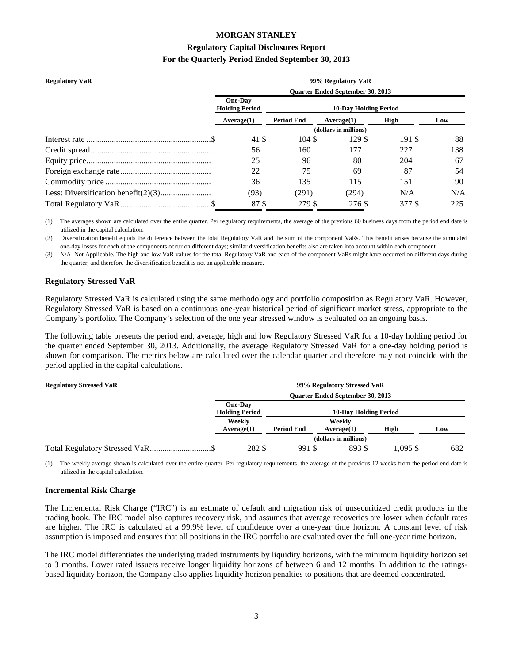#### **Regulatory Capital Disclosures Report For the Quarterly Period Ended September 30, 2013**

| <b>Regulatory VaR</b> |                                         |                              | 99% Regulatory VaR |        |     |  |
|-----------------------|-----------------------------------------|------------------------------|--------------------|--------|-----|--|
|                       | <b>Ouarter Ended September 30, 2013</b> |                              |                    |        |     |  |
|                       | <b>One-Dav</b><br><b>Holding Period</b> | <b>10-Day Holding Period</b> |                    |        |     |  |
|                       | Average(1)                              | <b>Period End</b>            | Average(1)         | High   | Low |  |
|                       | (dollars in millions)                   |                              |                    |        |     |  |
|                       | 41 \$                                   | 104 \$                       | 129 \$             | 191 \$ | 88  |  |
|                       | 56                                      | 160                          | 177                | 227    | 138 |  |
|                       | 25                                      | 96                           | 80                 | 204    | 67  |  |
|                       | 22                                      | 75                           | 69                 | 87     | 54  |  |
|                       | 36                                      | 135                          | 115                | 151    | 90  |  |
|                       | (93)                                    | (291)                        | (294)              | N/A    | N/A |  |
|                       | 87\$                                    | 279 \$                       | 276 \$             | 377 \$ | 225 |  |

 $\overline{\phantom{a}}$  , where  $\overline{\phantom{a}}$ (1) The averages shown are calculated over the entire quarter. Per regulatory requirements, the average of the previous 60 business days from the period end date is utilized in the capital calculation.

(2) Diversification benefit equals the difference between the total Regulatory VaR and the sum of the component VaRs. This benefit arises because the simulated one-day losses for each of the components occur on different days; similar diversification benefits also are taken into account within each component.

(3) N/A–Not Applicable. The high and low VaR values for the total Regulatory VaR and each of the component VaRs might have occurred on different days during the quarter, and therefore the diversification benefit is not an applicable measure.

#### **Regulatory Stressed VaR**

Regulatory Stressed VaR is calculated using the same methodology and portfolio composition as Regulatory VaR. However, Regulatory Stressed VaR is based on a continuous one-year historical period of significant market stress, appropriate to the Company's portfolio. The Company's selection of the one year stressed window is evaluated on an ongoing basis.

The following table presents the period end, average, high and low Regulatory Stressed VaR for a 10-day holding period for the quarter ended September 30, 2013. Additionally, the average Regulatory Stressed VaR for a one-day holding period is shown for comparison. The metrics below are calculated over the calendar quarter and therefore may not coincide with the period applied in the capital calculations.

#### **Regulatory Stressed VaR 99% Regulatory Stressed VaR**

| $\mathbf{R}$ |                                  |                   |                                         |             |     |
|--------------|----------------------------------|-------------------|-----------------------------------------|-------------|-----|
|              |                                  |                   | <b>Ouarter Ended September 30, 2013</b> |             |     |
|              | One-Day<br><b>Holding Period</b> |                   | <b>10-Day Holding Period</b>            |             |     |
|              | Weekly                           |                   | Weekly                                  |             |     |
|              | Average(1)                       | <b>Period End</b> | Average(1)                              | <b>High</b> | Low |
|              |                                  |                   | (dollars in millions)                   |             |     |
|              | 282 \$                           | 991 \$            | 893 \$                                  | 1.095 \$    | 682 |
|              |                                  |                   |                                         |             |     |

The weekly average shown is calculated over the entire quarter. Per regulatory requirements, the average of the previous 12 weeks from the period end date is utilized in the capital calculation.

#### **Incremental Risk Charge**

The Incremental Risk Charge ("IRC") is an estimate of default and migration risk of unsecuritized credit products in the trading book. The IRC model also captures recovery risk, and assumes that average recoveries are lower when default rates are higher. The IRC is calculated at a 99.9% level of confidence over a one-year time horizon. A constant level of risk assumption is imposed and ensures that all positions in the IRC portfolio are evaluated over the full one-year time horizon.

The IRC model differentiates the underlying traded instruments by liquidity horizons, with the minimum liquidity horizon set to 3 months. Lower rated issuers receive longer liquidity horizons of between 6 and 12 months. In addition to the ratingsbased liquidity horizon, the Company also applies liquidity horizon penalties to positions that are deemed concentrated.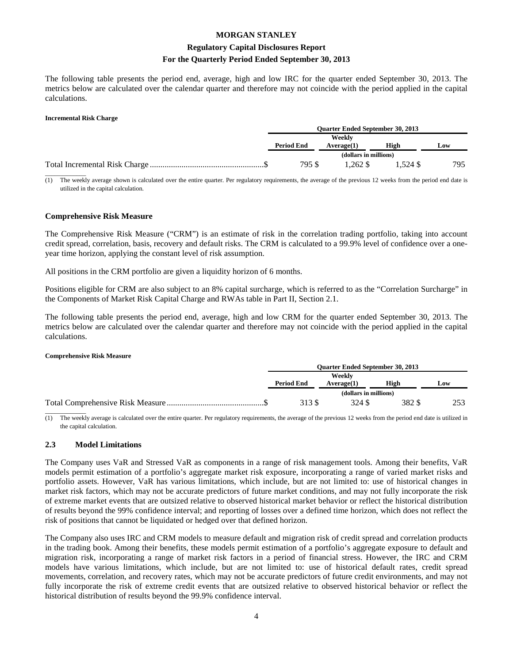### **Regulatory Capital Disclosures Report For the Quarterly Period Ended September 30, 2013**

The following table presents the period end, average, high and low IRC for the quarter ended September 30, 2013. The metrics below are calculated over the calendar quarter and therefore may not coincide with the period applied in the capital calculations.

#### **Incremental Risk Charge**

|                   | <b>Ouarter Ended September 30, 2013</b> |         |     |
|-------------------|-----------------------------------------|---------|-----|
| Weekly            |                                         |         |     |
| <b>Period End</b> | Average(1)                              | High    | Low |
|                   | (dollars in millions)                   |         |     |
| 795 \$            | $.262$ \$                               | .524 \$ | 795 |
|                   |                                         |         |     |

(1) The weekly average shown is calculated over the entire quarter. Per regulatory requirements, the average of the previous 12 weeks from the period end date is utilized in the capital calculation.

#### **Comprehensive Risk Measure**

The Comprehensive Risk Measure ("CRM") is an estimate of risk in the correlation trading portfolio, taking into account credit spread, correlation, basis, recovery and default risks. The CRM is calculated to a 99.9% level of confidence over a oneyear time horizon, applying the constant level of risk assumption.

All positions in the CRM portfolio are given a liquidity horizon of 6 months.

Positions eligible for CRM are also subject to an 8% capital surcharge, which is referred to as the "Correlation Surcharge" in the Components of Market Risk Capital Charge and RWAs table in Part II, Section 2.1.

The following table presents the period end, average, high and low CRM for the quarter ended September 30, 2013. The metrics below are calculated over the calendar quarter and therefore may not coincide with the period applied in the capital calculations.

#### **Comprehensive Risk Measure**

|                   | Quarter Ended September 30, 2013 |       |     |
|-------------------|----------------------------------|-------|-----|
|                   | Weekly                           |       |     |
| <b>Period End</b> | Average(1)                       | High  | Low |
|                   | (dollars in millions)            |       |     |
| 313 S             | 324 S                            | 382 S |     |
|                   |                                  |       |     |

(1) The weekly average is calculated over the entire quarter. Per regulatory requirements, the average of the previous 12 weeks from the period end date is utilized in the capital calculation.

#### **2.3 Model Limitations**

The Company uses VaR and Stressed VaR as components in a range of risk management tools. Among their benefits, VaR models permit estimation of a portfolio's aggregate market risk exposure, incorporating a range of varied market risks and portfolio assets. However, VaR has various limitations, which include, but are not limited to: use of historical changes in market risk factors, which may not be accurate predictors of future market conditions, and may not fully incorporate the risk of extreme market events that are outsized relative to observed historical market behavior or reflect the historical distribution of results beyond the 99% confidence interval; and reporting of losses over a defined time horizon, which does not reflect the risk of positions that cannot be liquidated or hedged over that defined horizon.

The Company also uses IRC and CRM models to measure default and migration risk of credit spread and correlation products in the trading book. Among their benefits, these models permit estimation of a portfolio's aggregate exposure to default and migration risk, incorporating a range of market risk factors in a period of financial stress. However, the IRC and CRM models have various limitations, which include, but are not limited to: use of historical default rates, credit spread movements, correlation, and recovery rates, which may not be accurate predictors of future credit environments, and may not fully incorporate the risk of extreme credit events that are outsized relative to observed historical behavior or reflect the historical distribution of results beyond the 99.9% confidence interval.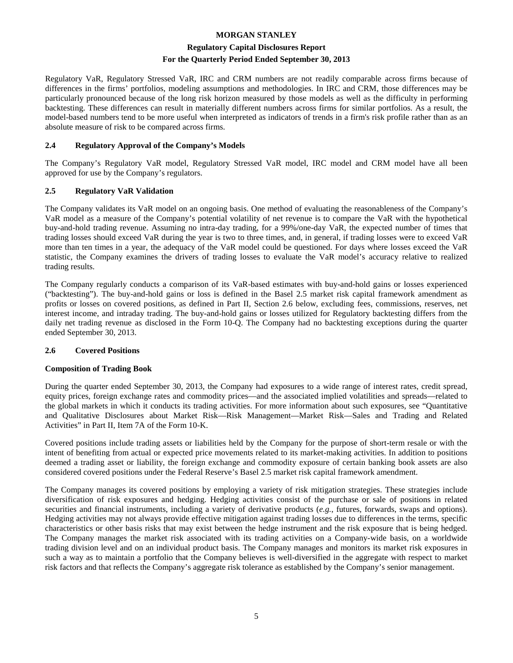#### **Regulatory Capital Disclosures Report For the Quarterly Period Ended September 30, 2013**

Regulatory VaR, Regulatory Stressed VaR, IRC and CRM numbers are not readily comparable across firms because of differences in the firms' portfolios, modeling assumptions and methodologies. In IRC and CRM, those differences may be particularly pronounced because of the long risk horizon measured by those models as well as the difficulty in performing backtesting. These differences can result in materially different numbers across firms for similar portfolios. As a result, the model-based numbers tend to be more useful when interpreted as indicators of trends in a firm's risk profile rather than as an absolute measure of risk to be compared across firms.

#### **2.4 Regulatory Approval of the Company's Models**

The Company's Regulatory VaR model, Regulatory Stressed VaR model, IRC model and CRM model have all been approved for use by the Company's regulators.

#### **2.5 Regulatory VaR Validation**

The Company validates its VaR model on an ongoing basis. One method of evaluating the reasonableness of the Company's VaR model as a measure of the Company's potential volatility of net revenue is to compare the VaR with the hypothetical buy-and-hold trading revenue. Assuming no intra-day trading, for a 99%/one-day VaR, the expected number of times that trading losses should exceed VaR during the year is two to three times, and, in general, if trading losses were to exceed VaR more than ten times in a year, the adequacy of the VaR model could be questioned. For days where losses exceed the VaR statistic, the Company examines the drivers of trading losses to evaluate the VaR model's accuracy relative to realized trading results.

The Company regularly conducts a comparison of its VaR-based estimates with buy-and-hold gains or losses experienced ("backtesting"). The buy-and-hold gains or loss is defined in the Basel 2.5 market risk capital framework amendment as profits or losses on covered positions, as defined in Part II, Section 2.6 below, excluding fees, commissions, reserves, net interest income, and intraday trading. The buy-and-hold gains or losses utilized for Regulatory backtesting differs from the daily net trading revenue as disclosed in the Form 10-Q. The Company had no backtesting exceptions during the quarter ended September 30, 2013.

#### **2.6 Covered Positions**

#### **Composition of Trading Book**

During the quarter ended September 30, 2013, the Company had exposures to a wide range of interest rates, credit spread, equity prices, foreign exchange rates and commodity prices—and the associated implied volatilities and spreads—related to the global markets in which it conducts its trading activities. For more information about such exposures, see "Quantitative and Qualitative Disclosures about Market Risk—Risk Management—Market Risk—Sales and Trading and Related Activities" in Part II, Item 7A of the Form 10-K.

Covered positions include trading assets or liabilities held by the Company for the purpose of short-term resale or with the intent of benefiting from actual or expected price movements related to its market-making activities. In addition to positions deemed a trading asset or liability, the foreign exchange and commodity exposure of certain banking book assets are also considered covered positions under the Federal Reserve's Basel 2.5 market risk capital framework amendment.

The Company manages its covered positions by employing a variety of risk mitigation strategies. These strategies include diversification of risk exposures and hedging. Hedging activities consist of the purchase or sale of positions in related securities and financial instruments, including a variety of derivative products (*e.g.*, futures, forwards, swaps and options). Hedging activities may not always provide effective mitigation against trading losses due to differences in the terms, specific characteristics or other basis risks that may exist between the hedge instrument and the risk exposure that is being hedged. The Company manages the market risk associated with its trading activities on a Company-wide basis, on a worldwide trading division level and on an individual product basis. The Company manages and monitors its market risk exposures in such a way as to maintain a portfolio that the Company believes is well-diversified in the aggregate with respect to market risk factors and that reflects the Company's aggregate risk tolerance as established by the Company's senior management.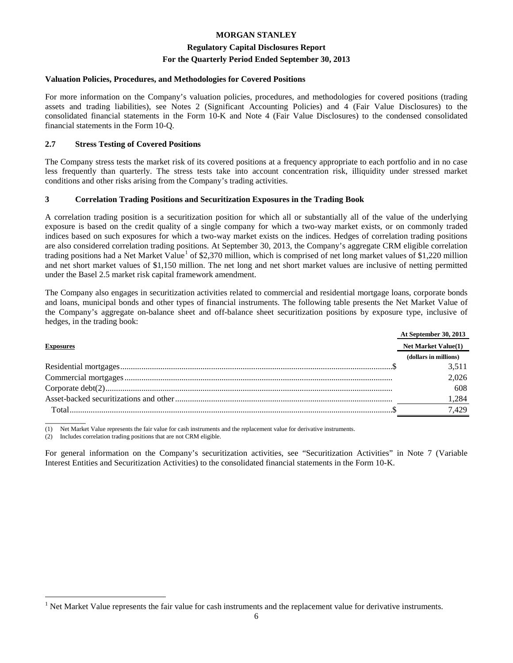## **Regulatory Capital Disclosures Report**

## **For the Quarterly Period Ended September 30, 2013**

#### **Valuation Policies, Procedures, and Methodologies for Covered Positions**

For more information on the Company's valuation policies, procedures, and methodologies for covered positions (trading assets and trading liabilities), see Notes 2 (Significant Accounting Policies) and 4 (Fair Value Disclosures) to the consolidated financial statements in the Form 10-K and Note 4 (Fair Value Disclosures) to the condensed consolidated financial statements in the Form 10-Q.

#### **2.7 Stress Testing of Covered Positions**

The Company stress tests the market risk of its covered positions at a frequency appropriate to each portfolio and in no case less frequently than quarterly. The stress tests take into account concentration risk, illiquidity under stressed market conditions and other risks arising from the Company's trading activities.

#### **3 Correlation Trading Positions and Securitization Exposures in the Trading Book**

A correlation trading position is a securitization position for which all or substantially all of the value of the underlying exposure is based on the credit quality of a single company for which a two-way market exists, or on commonly traded indices based on such exposures for which a two-way market exists on the indices. Hedges of correlation trading positions are also considered correlation trading positions. At September 30, 2013, the Company's aggregate CRM eligible correlation trading positions had a Net Market Value<sup>[1](#page-7-0)</sup> of \$2,370 million, which is comprised of net long market values of \$1,220 million and net short market values of \$1,150 million. The net long and net short market values are inclusive of netting permitted under the Basel 2.5 market risk capital framework amendment.

The Company also engages in securitization activities related to commercial and residential mortgage loans, corporate bonds and loans, municipal bonds and other types of financial instruments. The following table presents the Net Market Value of the Company's aggregate on-balance sheet and off-balance sheet securitization positions by exposure type, inclusive of hedges, in the trading book:

|                  | At September 30, 2013      |
|------------------|----------------------------|
| <b>Exposures</b> | <b>Net Market Value(1)</b> |
|                  | (dollars in millions)      |
|                  | 3.511                      |
|                  | 2,026                      |
|                  | 608                        |
|                  | 1,284                      |
|                  | 7.429                      |
|                  |                            |

(1) Net Market Value represents the fair value for cash instruments and the replacement value for derivative instruments.

(2) Includes correlation trading positions that are not CRM eligible.

For general information on the Company's securitization activities, see "Securitization Activities" in Note 7 (Variable Interest Entities and Securitization Activities) to the consolidated financial statements in the Form 10-K.

<span id="page-7-0"></span>Net Market Value represents the fair value for cash instruments and the replacement value for derivative instruments.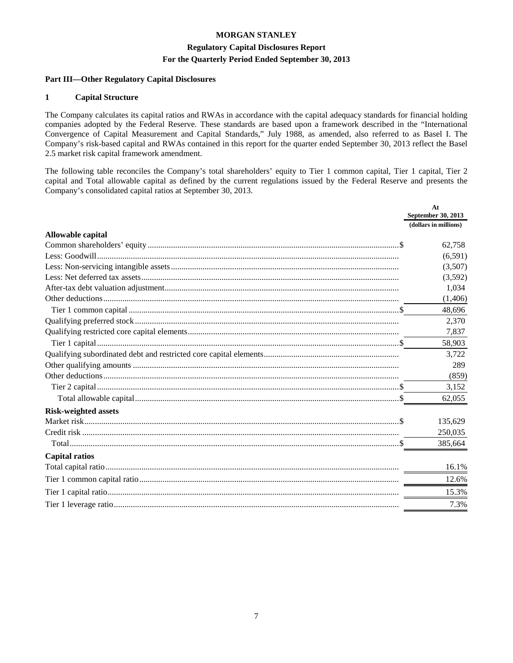#### **Regulatory Capital Disclosures Report For the Quarterly Period Ended September 30, 2013**

## **Part III—Other Regulatory Capital Disclosures**

#### **1 Capital Structure**

The Company calculates its capital ratios and RWAs in accordance with the capital adequacy standards for financial holding companies adopted by the Federal Reserve. These standards are based upon a framework described in the "International Convergence of Capital Measurement and Capital Standards," July 1988, as amended, also referred to as Basel I. The Company's risk-based capital and RWAs contained in this report for the quarter ended September 30, 2013 reflect the Basel 2.5 market risk capital framework amendment.

The following table reconciles the Company's total shareholders' equity to Tier 1 common capital, Tier 1 capital, Tier 2 capital and Total allowable capital as defined by the current regulations issued by the Federal Reserve and presents the Company's consolidated capital ratios at September 30, 2013.

|                             | At<br>September 30, 2013 |
|-----------------------------|--------------------------|
|                             | (dollars in millions)    |
| Allowable capital           |                          |
|                             | 62,758                   |
|                             | (6,591)                  |
|                             | (3,507)                  |
|                             | (3,592)                  |
|                             | 1,034                    |
|                             | (1,406)                  |
|                             | 48,696                   |
|                             | 2,370                    |
|                             | 7,837                    |
|                             | 58,903                   |
|                             | 3,722                    |
|                             | 289                      |
|                             | (859)                    |
|                             | 3,152                    |
|                             | 62,055                   |
| <b>Risk-weighted assets</b> |                          |
|                             | 135,629                  |
|                             | 250,035                  |
|                             | 385.664                  |
| <b>Capital ratios</b>       |                          |
|                             | 16.1%                    |
|                             | 12.6%                    |
|                             | 15.3%                    |
|                             | 7.3%                     |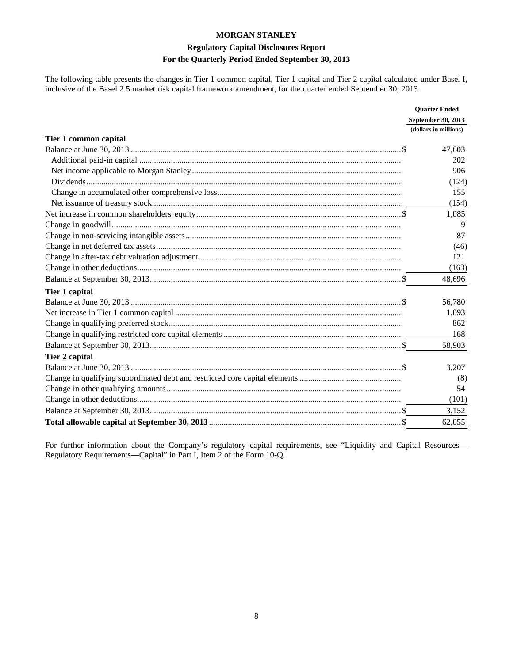### **Regulatory Capital Disclosures Report For the Quarterly Period Ended September 30, 2013**

The following table presents the changes in Tier 1 common capital, Tier 1 capital and Tier 2 capital calculated under Basel I, inclusive of the Basel 2.5 market risk capital framework amendment, for the quarter ended September 30, 2013.

|                       | <b>Ouarter Ended</b>  |
|-----------------------|-----------------------|
|                       | September 30, 2013    |
|                       | (dollars in millions) |
| Tier 1 common capital |                       |
|                       | 47,603                |
|                       | 302                   |
|                       | 906                   |
|                       | (124)                 |
|                       | 155                   |
|                       | (154)                 |
|                       | 1,085                 |
|                       | 9                     |
|                       | 87                    |
|                       | (46)                  |
|                       | 121                   |
|                       | (163)                 |
|                       | 48,696                |
| Tier 1 capital        |                       |
|                       | 56,780                |
|                       | 1,093                 |
|                       | 862                   |
|                       | 168                   |
|                       | 58,903                |
| <b>Tier 2 capital</b> |                       |
|                       | 3,207                 |
|                       | (8)                   |
|                       | 54                    |
|                       | (101)                 |
|                       | 3,152                 |
|                       | 62,055                |

For further information about the Company's regulatory capital requirements, see "Liquidity and Capital Resources— Regulatory Requirements—Capital" in Part I, Item 2 of the Form 10-Q.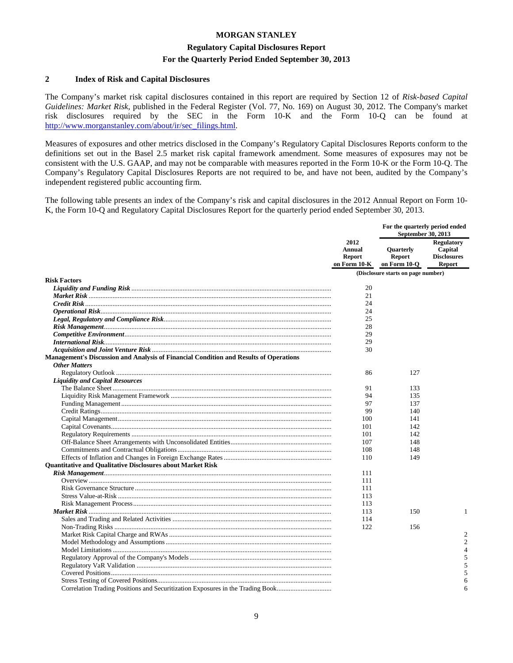#### **Regulatory Capital Disclosures Report**

#### **For the Quarterly Period Ended September 30, 2013**

#### **2 Index of Risk and Capital Disclosures**

The Company's market risk capital disclosures contained in this report are required by Section 12 of *Risk-based Capital Guidelines: Market Risk*, published in the Federal Register (Vol. 77, No. 169) on August 30, 2012. The Company's market risk disclosures required by the SEC in the Form 10-K and the Form 10-Q can be found at [http://www.morganstanley.com/about/ir/sec\\_filings.html.](http://www.morganstanley.com/about/ir/sec_filings.html) 

Measures of exposures and other metrics disclosed in the Company's Regulatory Capital Disclosures Reports conform to the definitions set out in the Basel 2.5 market risk capital framework amendment. Some measures of exposures may not be consistent with the U.S. GAAP, and may not be comparable with measures reported in the Form 10-K or the Form 10-Q. The Company's Regulatory Capital Disclosures Reports are not required to be, and have not been, audited by the Company's independent registered public accounting firm.

The following table presents an index of the Company's risk and capital disclosures in the 2012 Annual Report on Form 10- K, the Form 10-Q and Regulatory Capital Disclosures Report for the quarterly period ended September 30, 2013.

|                                                                                              | 2012<br><b>Annual</b><br>Report<br>on Form 10-K | For the quarterly period ended<br>September 30, 2013 |                                                                     |
|----------------------------------------------------------------------------------------------|-------------------------------------------------|------------------------------------------------------|---------------------------------------------------------------------|
|                                                                                              |                                                 | <b>Ouarterly</b><br>Report<br>on Form 10-Q           | <b>Regulatory</b><br>Capital<br><b>Disclosures</b><br><b>Report</b> |
|                                                                                              |                                                 | (Disclosure starts on page number)                   |                                                                     |
| <b>Risk Factors</b>                                                                          | 20                                              |                                                      |                                                                     |
|                                                                                              | 21                                              |                                                      |                                                                     |
|                                                                                              | 24                                              |                                                      |                                                                     |
|                                                                                              | 24                                              |                                                      |                                                                     |
|                                                                                              | 25                                              |                                                      |                                                                     |
|                                                                                              | 28                                              |                                                      |                                                                     |
|                                                                                              | 29                                              |                                                      |                                                                     |
|                                                                                              | 29                                              |                                                      |                                                                     |
|                                                                                              | 30                                              |                                                      |                                                                     |
| <b>Management's Discussion and Analysis of Financial Condition and Results of Operations</b> |                                                 |                                                      |                                                                     |
| <b>Other Matters</b>                                                                         |                                                 |                                                      |                                                                     |
|                                                                                              | 86                                              | 127                                                  |                                                                     |
| <b>Liquidity and Capital Resources</b>                                                       |                                                 |                                                      |                                                                     |
|                                                                                              | 91                                              | 133                                                  |                                                                     |
|                                                                                              | 94                                              | 135                                                  |                                                                     |
|                                                                                              | 97                                              | 137                                                  |                                                                     |
|                                                                                              | 99                                              | 140                                                  |                                                                     |
|                                                                                              | 100                                             | 141                                                  |                                                                     |
|                                                                                              | 101                                             | 142                                                  |                                                                     |
|                                                                                              | 101                                             | 142                                                  |                                                                     |
|                                                                                              | 107                                             | 148                                                  |                                                                     |
|                                                                                              | 108                                             | 148                                                  |                                                                     |
|                                                                                              | 110                                             | 149                                                  |                                                                     |
| <b>Ouantitative and Oualitative Disclosures about Market Risk</b>                            |                                                 |                                                      |                                                                     |
|                                                                                              | 111                                             |                                                      |                                                                     |
|                                                                                              | 111                                             |                                                      |                                                                     |
|                                                                                              | 111                                             |                                                      |                                                                     |
|                                                                                              | 113                                             |                                                      |                                                                     |
|                                                                                              | 113                                             |                                                      |                                                                     |
|                                                                                              | 113                                             | 150                                                  | 1                                                                   |
|                                                                                              | 114                                             |                                                      |                                                                     |
|                                                                                              | 122                                             | 156                                                  |                                                                     |
|                                                                                              |                                                 |                                                      | $\overline{c}$                                                      |
|                                                                                              |                                                 |                                                      | $\mathfrak{D}$                                                      |
|                                                                                              |                                                 |                                                      | $\overline{4}$                                                      |
|                                                                                              |                                                 |                                                      | 5                                                                   |
|                                                                                              |                                                 |                                                      | 5                                                                   |
|                                                                                              |                                                 |                                                      | 5                                                                   |
|                                                                                              |                                                 |                                                      | 6                                                                   |
| Correlation Trading Positions and Securitization Exposures in the Trading Book               |                                                 |                                                      | 6                                                                   |